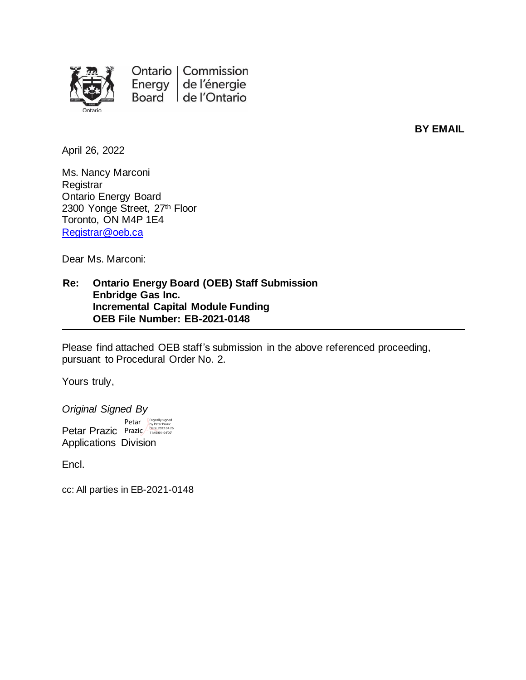

Ontario | Commission Energy de l'énergie Board de l'Ontario

**BY EMAIL**

April 26, 2022

Ms. Nancy Marconi **Registrar** Ontario Energy Board 2300 Yonge Street, 27th Floor Toronto, ON M4P 1E4 [Registrar@oeb.ca](mailto:Registrar@oeb.ca)

Dear Ms. Marconi:

**Re: Ontario Energy Board (OEB) Staff Submission Enbridge Gas Inc. Incremental Capital Module Funding OEB File Number: EB-2021-0148**

Please find attached OEB staff's submission in the above referenced proceeding, pursuant to Procedural Order No. 2.

Yours truly,

*Original Signed By* Petar Prazic Prazic Applications Division Petar Digitally signed by Petar Prazic Date: 2022.04.26 11:49:04 -04'00'

Encl.

cc: All parties in EB-2021-0148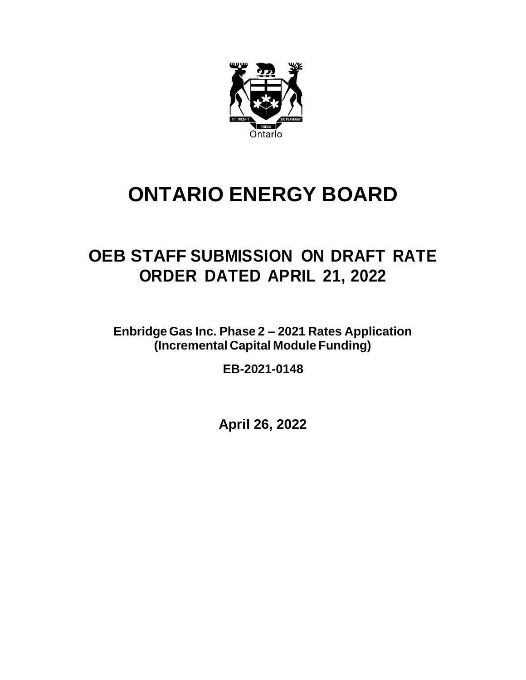

## **ONTARIO ENERGY BOARD**

## **OEB STAFF SUBMISSION ON DRAFT RATE ORDER DATED APRIL 21, 2022**

**Enbridge Gas Inc. Phase 2 – 2021 Rates Application (Incremental Capital Module Funding)**

**EB-2021-0148**

**April 26, 2022**